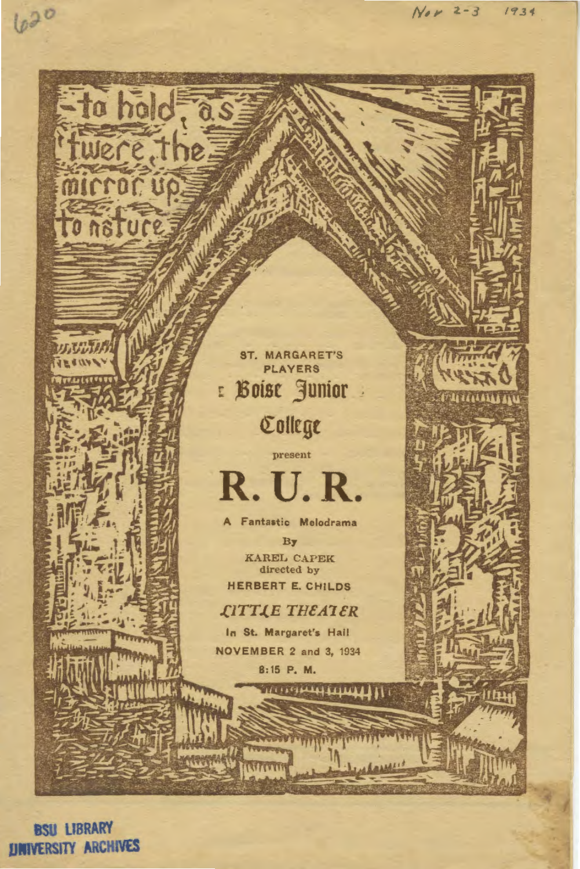

**BSU LIBRARY UNIVERSITY ARCHIVES**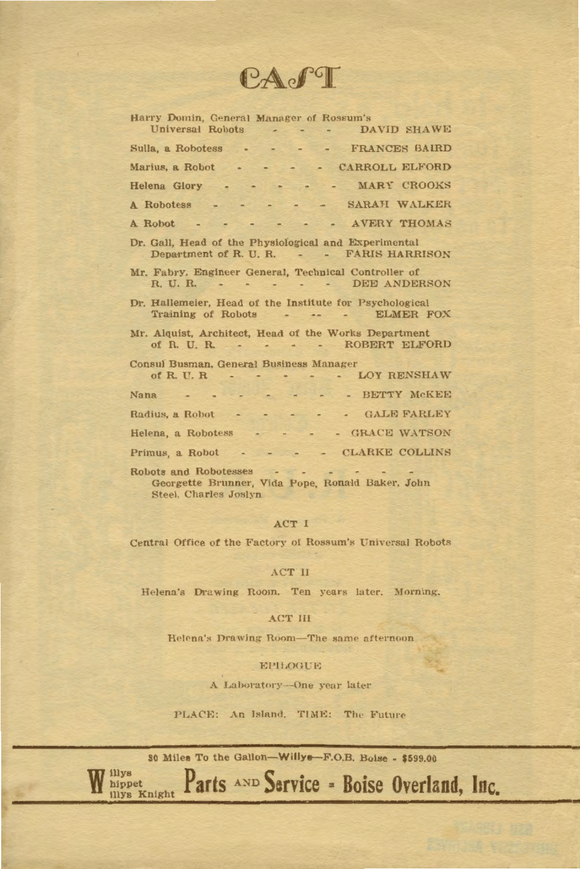CAPT

| Harry Domin, General Manager of Rossum's<br>Universal Robots DAVID SHAWE                          |
|---------------------------------------------------------------------------------------------------|
| Sulla, a Robotess FRANCES BAIRD                                                                   |
| Marius, a Robot CARROLL ELFORD                                                                    |
| Helena Glory MARY CROOKS                                                                          |
| A Robotess - - - - - - SARAH WALKER                                                               |
| A Robot - - - - - - AVERY THOMAS                                                                  |
| Dr. Gall, Head of the Physiological and Experimental<br>Department of R. U. R. - - FARIS HARRISON |
| Mr. Fabry, Engineer General, Technical Controller of<br>R. U. R. DEE ANDERSON                     |
| Dr. Hallemeier, Head of the Institute for Psychological<br>Training of Robots - - - - ELMER FOX   |
| Mr. Alquist, Architect, Head of the Works Department<br>of R. U. R. ROBERT ELFORD                 |
| Consul Busman, General Business Manager<br>of R.U.R LOY RENSHAW                                   |
| Nana - - - - - - - - BETTY MCKEE                                                                  |
| Radius, a Robot GALE FARLEY                                                                       |
| Helena, a Robotess GRACE WATSON                                                                   |
| Primus, a Robot - - - - - CLARKE COLLINS                                                          |
| Robots and Robotesses<br>Georgette Brunner, Vida Pope, Ronald Baker, John                         |

Steel, Charles Joslyn

# ACT I

Central Office of the Factory of Rossum's Universal Robots

#### ACT II

Helena's Drawing Room. Ten years later. Morning.

# ACT III

Helena's Drawing Room-The same afternoon

#### EPILOGUE

A Laboratory-One year later

PLACE: An Island, TIME: The Future

30 Miles To the Gallon-Willys-F.O.B. Boise - \$599.00

Parts AND Service - Boise Overland, Inc.

illys<br>hippet<br>illys Knight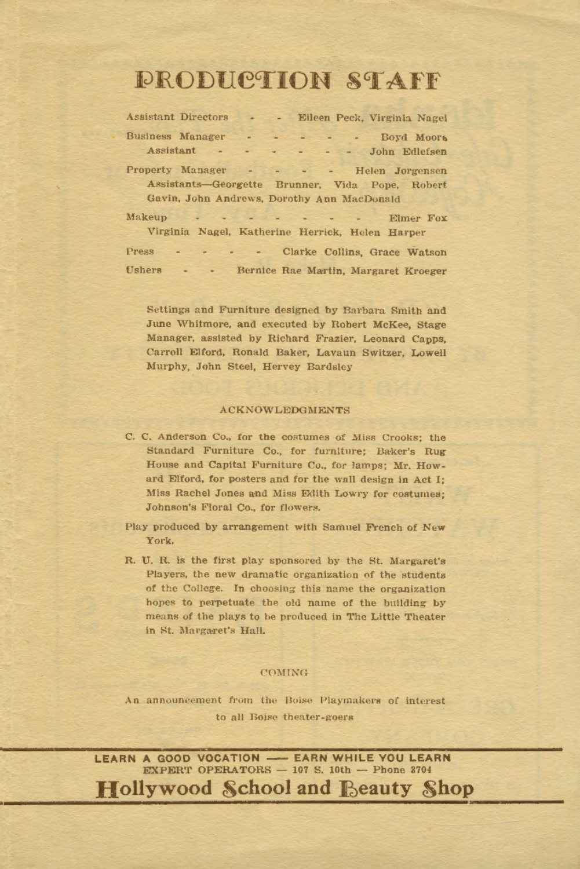# **DRODUCTION STAFF**

| Assistant Directors                                    |                  |                                                                                                                                                                                                                                |  | - Eileen Peck, Virginia Nagel |  |
|--------------------------------------------------------|------------------|--------------------------------------------------------------------------------------------------------------------------------------------------------------------------------------------------------------------------------|--|-------------------------------|--|
| Business Manager                                       |                  |                                                                                                                                                                                                                                |  | Boyd Moors                    |  |
| Assistant - -                                          |                  | <b>Contract Contract Contract</b><br><b>All Contract Contract</b>                                                                                                                                                              |  | John Edlefsen                 |  |
| Property Manager - - - - Helen Jorgensen               |                  |                                                                                                                                                                                                                                |  |                               |  |
| Assistants-Georgette Brunner, Vida Pope, Robert        |                  |                                                                                                                                                                                                                                |  |                               |  |
| Gavin, John Andrews, Dorothy Ann MacDonald             |                  |                                                                                                                                                                                                                                |  |                               |  |
| Makeup                                                 |                  | A considerably and a construction of the construction of the construction of the construction of the construction of the construction of the construction of the construction of the construction of the construction of the c |  | Elmer Fox                     |  |
| Virginia Nagel, Katherine Herrick, Helen Harper        |                  |                                                                                                                                                                                                                                |  |                               |  |
| Press<br>$\sim$                                        | $-1 - 1 - 1 = 0$ |                                                                                                                                                                                                                                |  | Clarke Collins, Grace Watson  |  |
| Cohara - - - - - - Barrica Ban Mantin Maugusta Wusanny |                  |                                                                                                                                                                                                                                |  |                               |  |

Settings and Furniture designed by Barbara Smith and June Whitmore, and executed by Robert McKee, Stage Manager, assisted by Richard Frazier, Leonard Capps. Carroll Elford, Ronald Baker, Lavaun Switzer, Lowell Murphy, John Steel, Hervey Bardsley

## **ACKNOWLEDGMENTS**

C. C. Anderson Co., for the costumes of Miss Crooks: the Standard Furniture Co., for furniture; Baker's Rug House and Capital Furniture Co., for lamps; Mr. Howard Elford, for posters and for the wall design in Act I: Miss Rachel Jones and Miss Edith Lowry for costumes: Johnson's Floral Co., for flowers.

Play produced by arrangement with Samuel French of New York.

R. U. R. is the first play sponsored by the St. Margaret's Players, the new dramatic organization of the students of the College. In choosing this name the organization hopes to perpetuate the old name of the building by means of the plays to be produced in The Little Theater in St. Margaret's Hall.

### COMING

An announcement from the Boise Playmakers of interest to all Boise theater-goers

LEARN A GOOD VOCATION - EARN WHILE YOU LEARN EXPERT OPERATORS - 107 S. 10th - Phone 3704 **Hollywood School and Beauty Shop**